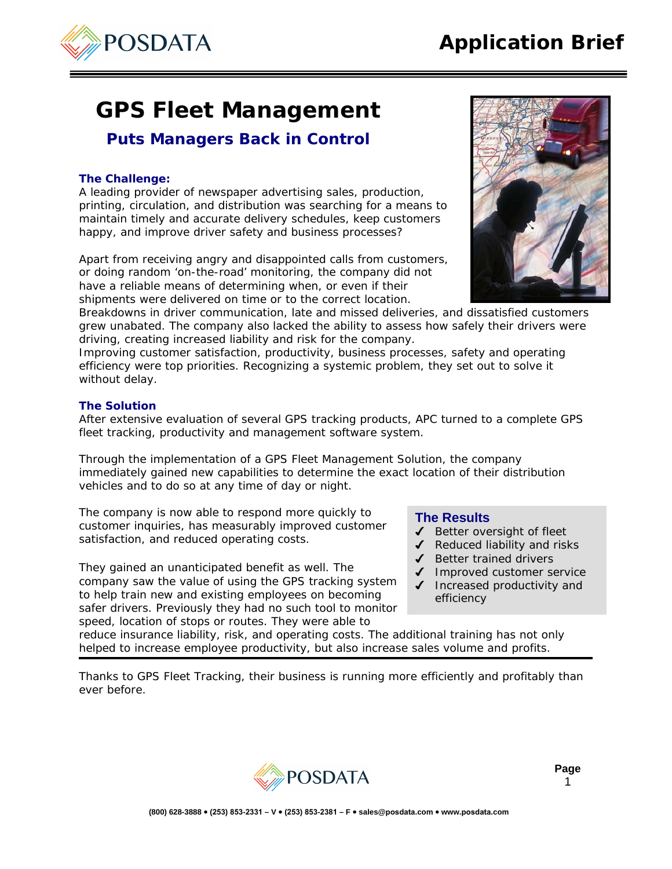## fleet tracking, productivity and management software system.

**GPS Fleet Management** 

*Puts Managers Back in Control*

A leading provider of newspaper advertising sales, production, printing, circulation, and distribution was searching for a means to maintain timely and accurate delivery schedules, keep customers

Apart from receiving angry and disappointed calls from customers, or doing random 'on-the-road' monitoring, the company did not have a reliable means of determining when, or even if their shipments were delivered on time or to the correct location.

happy, and improve driver safety and business processes?

driving, creating increased liability and risk for the company.

Through the implementation of a GPS Fleet Management Solution, the company immediately gained new capabilities to determine the exact location of their distribution vehicles and to do so at any time of day or night.

grew unabated. The company also lacked the ability to assess how safely their drivers were

After extensive evaluation of several GPS tracking products, APC turned to a complete GPS

Improving customer satisfaction, productivity, business processes, safety and operating efficiency were top priorities. Recognizing a systemic problem, they set out to solve it

The company is now able to respond more quickly to customer inquiries, has measurably improved customer satisfaction, and reduced operating costs.

They gained an unanticipated benefit as well. The company saw the value of using the GPS tracking system to help train new and existing employees on becoming safer drivers. Previously they had no such tool to monitor speed, location of stops or routes. They were able to

- $\triangleleft$  Better oversight of fleet
- $\triangleleft$  Reduced liability and risks
- $\triangleleft$  Better trained drivers
- ◆ Improved customer service
- Increased productivity and efficiency

reduce insurance liability, risk, and operating costs. The additional training has not only helped to increase employee productivity, but also increase sales volume and profits.

Thanks to GPS Fleet Tracking, their business is running more efficiently and profitably than ever before.



POSDATA





- 
- 
- 
- 
- 

(800) 628-3888 · (253) 853-2331 - V · (253) 853-2381 - F · sales@posdata.com · www.posdata.com



**The Challenge:** 

without delay.

**The Solution**



## **Page**  1